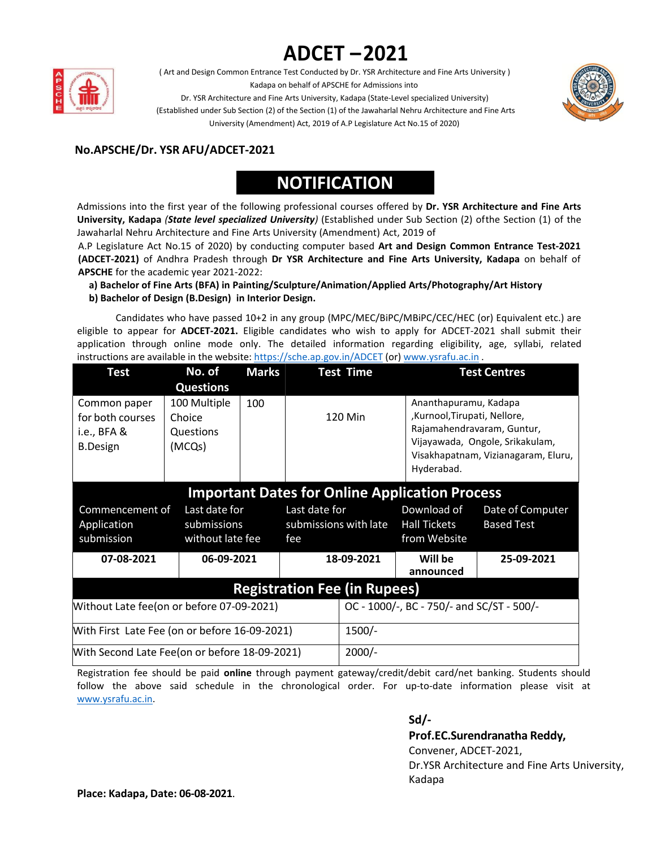# **ADCET –2021**



( Art and Design Common Entrance Test Conducted by Dr. YSR Architecture and Fine Arts University ) Kadapa on behalf of APSCHE for Admissions into



Dr. YSR Architecture and Fine Arts University, Kadapa (State-Level specialized University) (Established under Sub Section (2) of the Section (1) of the Jawaharlal Nehru Architecture and Fine Arts University (Amendment) Act, 2019 of A.P Legislature Act No.15 of 2020)

## **No.APSCHE/Dr. YSR AFU/ADCET-2021**

## **NOTIFICATION**

Admissions into the first year of the following professional courses offered by **Dr. YSR Architecture and Fine Arts University, Kadapa** *(State level specialized University)* (Established under Sub Section (2) ofthe Section (1) of the Jawaharlal Nehru Architecture and Fine Arts University (Amendment) Act, 2019 of

A.P Legislature Act No.15 of 2020) by conducting computer based Art and Design Common Entrance Test-2021 **(ADCET-2021)** of Andhra Pradesh through **Dr YSR Architecture and Fine Arts University, Kadapa** on behalf of **APSCHE** for the academic year 2021-2022:

**a) Bachelor of Fine Arts(BFA) in Painting/Sculpture/Animation/Applied Arts/Photography/Art History b) Bachelor of Design (B.Design) in Interior Design.**

Candidates who have passed 10+2 in any group (MPC/MEC/BiPC/MBiPC/CEC/HEC (or) Equivalent etc.) are eligible to appear for **ADCET-2021.** Eligible candidates who wish to apply for ADCET-2021 shall submit their application through online mode only. The detailed information regarding eligibility, age, syllabi, related instructions are available in the website: https://sche.ap.gov.in/ADCET (or) [www.ysrafu.ac.in](http://www.ysrafu.ac.in/) .

| <b>Test</b>                                                          | No. of                                                            | <b>Marks</b>                              |                                               | <b>Test Time</b>     |                                                                    | <b>Test Centres</b>                                                                                  |  |  |  |  |
|----------------------------------------------------------------------|-------------------------------------------------------------------|-------------------------------------------|-----------------------------------------------|----------------------|--------------------------------------------------------------------|------------------------------------------------------------------------------------------------------|--|--|--|--|
| Common paper<br>for both courses<br>i.e., $BFA &$<br><b>B.Design</b> | <b>Questions</b><br>100 Multiple<br>Choice<br>Questions<br>(MCQs) | 100                                       |                                               | 120 Min              | Ananthapuramu, Kadapa<br>,Kurnool,Tirupati, Nellore,<br>Hyderabad. | Rajamahendravaram, Guntur,<br>Vijayawada, Ongole, Srikakulam,<br>Visakhapatnam, Vizianagaram, Eluru, |  |  |  |  |
| <b>Important Dates for Online Application Process</b>                |                                                                   |                                           |                                               |                      |                                                                    |                                                                                                      |  |  |  |  |
| Commencement of<br>Application<br>submission                         | Last date for<br>submissions<br>without late fee                  |                                           | Last date for<br>submissions with late<br>fee |                      | Download of<br><b>Hall Tickets</b><br>from Website                 | Date of Computer<br><b>Based Test</b>                                                                |  |  |  |  |
| 06-09-2021<br>07-08-2021                                             |                                                                   | 18-09-2021                                |                                               | Will be<br>announced | 25-09-2021                                                         |                                                                                                      |  |  |  |  |
| <b>Registration Fee (in Rupees)</b>                                  |                                                                   |                                           |                                               |                      |                                                                    |                                                                                                      |  |  |  |  |
| Without Late fee(on or before 07-09-2021)                            |                                                                   | OC - 1000/-, BC - 750/- and SC/ST - 500/- |                                               |                      |                                                                    |                                                                                                      |  |  |  |  |
| With First Late Fee (on or before 16-09-2021)                        |                                                                   | $1500/-$                                  |                                               |                      |                                                                    |                                                                                                      |  |  |  |  |
| With Second Late Fee(on or before 18-09-2021)                        |                                                                   | $2000/-$                                  |                                               |                      |                                                                    |                                                                                                      |  |  |  |  |

Registration fee should be paid **online** through payment gateway/credit/debit card/net banking. Students should follow the above said schedule in the chronological order. For up-to-date information please visit at [www.ysrafu.ac.in.](http://www.ysrafu.ac.in/)

### **Sd/- Prof.EC.Surendranatha Reddy,** Convener, ADCET-2021, Dr.YSR Architecture and Fine Arts University, Kadapa

**Place: Kadapa, Date: 06-08-2021**.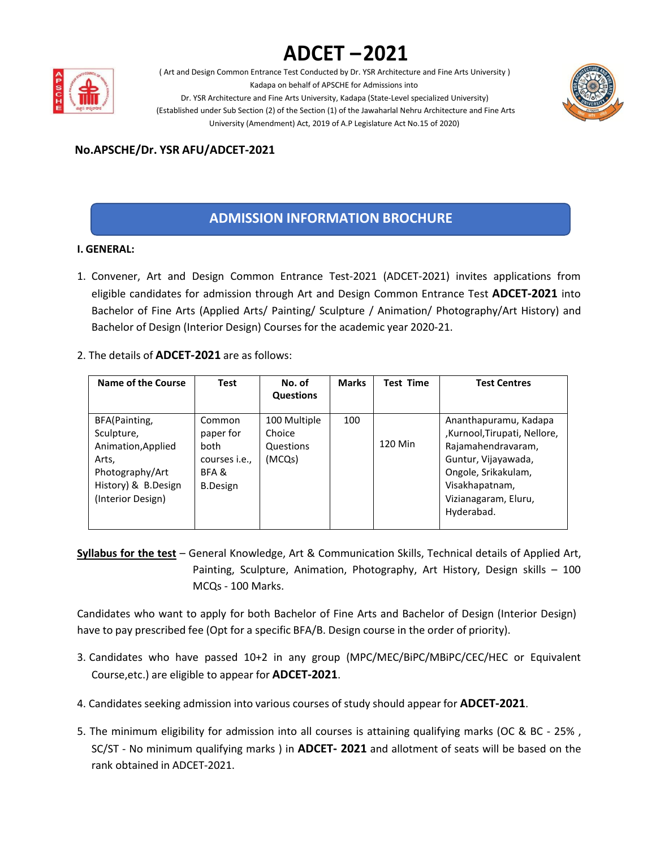## **ADCET –2021**



( Art and Design Common Entrance Test Conducted by Dr. YSR Architecture and Fine Arts University ) Kadapa on behalf of APSCHE for Admissions into



Dr. YSR Architecture and Fine Arts University, Kadapa (State-Level specialized University) (Established under Sub Section (2) of the Section (1) of the Jawaharlal Nehru Architecture and Fine Arts University (Amendment) Act, 2019 of A.P Legislature Act No.15 of 2020)

## **No.APSCHE/Dr. YSR AFU/ADCET-2021**

## **ADMISSION INFORMATION BROCHURE**

#### **I. GENERAL:**

- 1. Convener, Art and Design Common Entrance Test-2021 (ADCET-2021) invites applications from eligible candidates for admission through Art and Design Common Entrance Test **ADCET-2021** into Bachelor of Fine Arts (Applied Arts/ Painting/ Sculpture / Animation/ Photography/Art History) and Bachelor of Design (Interior Design) Courses for the academic year 2020-21.
- 2. The details of **ADCET-2021** are as follows:

| Name of the Course                                                                                                        | <b>Test</b>                                                                     | No. of<br><b>Questions</b>                    | <b>Marks</b> | <b>Test Time</b> | <b>Test Centres</b>                                                                                                                                                              |
|---------------------------------------------------------------------------------------------------------------------------|---------------------------------------------------------------------------------|-----------------------------------------------|--------------|------------------|----------------------------------------------------------------------------------------------------------------------------------------------------------------------------------|
| BFA(Painting,<br>Sculpture,<br>Animation, Applied<br>Arts,<br>Photography/Art<br>History) & B.Design<br>(Interior Design) | Common<br>paper for<br>both<br>courses <i>i.e.</i> ,<br>BFA&<br><b>B.Design</b> | 100 Multiple<br>Choice<br>Questions<br>(MCQs) | 100          | 120 Min          | Ananthapuramu, Kadapa<br>,Kurnool,Tirupati, Nellore,<br>Rajamahendravaram,<br>Guntur, Vijayawada,<br>Ongole, Srikakulam,<br>Visakhapatnam,<br>Vizianagaram, Eluru,<br>Hyderabad. |

**Syllabus for the test** – General Knowledge, Art & Communication Skills, Technical details of Applied Art, Painting, Sculpture, Animation, Photography, Art History, Design skills – 100 MCQs - 100 Marks.

Candidates who want to apply for both Bachelor of Fine Artsand Bachelor of Design (Interior Design) have to pay prescribed fee (Opt for a specific BFA/B. Design course in the order of priority).

- 3. Candidates who have passed 10+2 in any group (MPC/MEC/BiPC/MBiPC/CEC/HEC or Equivalent Course,etc.) are eligible to appear for **ADCET-2021**.
- 4. Candidates seeking admission into various courses of study should appear for **ADCET-2021**.
- 5. The minimum eligibility for admission into all courses is attaining qualifying marks (OC & BC 25% , SC/ST - No minimum qualifying marks ) in **ADCET- 2021** and allotment of seats will be based on the rank obtained in ADCET-2021.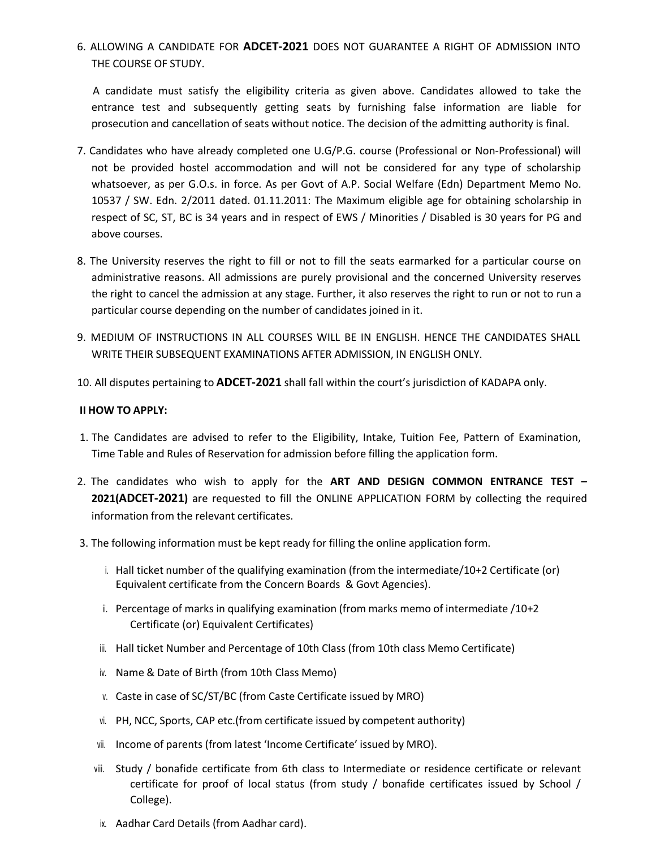6. ALLOWING A CANDIDATE FOR **ADCET-2021** DOES NOT GUARANTEE A RIGHT OF ADMISSION INTO

THE COURSE OF STUDY.<br>A candidate must satisfy the eligibility criteria as given above. Candidates allowed to take the entrance test and subsequently getting seats by furnishing false information are liable for prosecution and cancellation of seats without notice. The decision of the admitting authority is final.

- 7. Candidates who have already completed one U.G/P.G. course (Professional or Non-Professional) will not be provided hostel accommodation and will not be considered for any type of scholarship whatsoever, as per G.O.s. in force. As per Govt of A.P. Social Welfare (Edn) Department Memo No. 10537 / SW. Edn. 2/2011 dated. 01.11.2011: The Maximum eligible age for obtaining scholarship in respect of SC, ST, BC is 34 years and in respect of EWS / Minorities / Disabled is 30 years for PG and above courses.
- 8. The University reserves the right to fill or not to fill the seats earmarked for a particular course on administrative reasons. All admissions are purely provisional and the concerned University reserves the right to cancel the admission at any stage. Further, it also reserves the right to run or not to run a particular course depending on the number of candidates joined in it.
- 9. MEDIUM OF INSTRUCTIONS IN ALL COURSES WILL BE IN ENGLISH. HENCE THE CANDIDATES SHALL WRITE THEIR SUBSEQUENT EXAMINATIONS AFTER ADMISSION, IN ENGLISH ONLY.
- 10. All disputes pertaining to **ADCET-2021** shall fall within the court's jurisdiction of KADAPA only.

#### **II HOW TO APPLY:**

- 1. The Candidates are advised to refer to the Eligibility, Intake, Tuition Fee, Pattern of Examination, Time Table and Rules of Reservation for admission before filling the application form.
- 2. The candidates who wish to apply for the **ART AND DESIGN COMMON ENTRANCE TEST – 2021(ADCET-2021)** are requested to fill the ONLINE APPLICATION FORM by collecting the required information from the relevant certificates.
- 3. The following information must be kept ready for filling the online application form.
	- i. Hall ticket number of the qualifying examination (from the intermediate/10+2 Certificate (or) Equivalent certificate from the Concern Boards & Govt Agencies).
	- ii. Percentage of marks in qualifying examination (from marks memo of intermediate /10+2 Certificate (or) Equivalent Certificates)
	- iii. Hall ticket Number and Percentage of 10th Class (from 10th class Memo Certificate)
	- iv. Name & Date of Birth (from 10th Class Memo)
	- v. Caste in case of SC/ST/BC (from Caste Certificate issued by MRO)
	- vi. PH, NCC, Sports, CAP etc.(from certificate issued by competent authority)
	- vii. Income of parents (from latest 'Income Certificate' issued by MRO).
	- viii. Study / bonafide certificate from 6th class to Intermediate or residence certificate or relevant certificate for proof of local status (from study / bonafide certificates issued by School / College).
	- ix. Aadhar Card Details (from Aadhar card).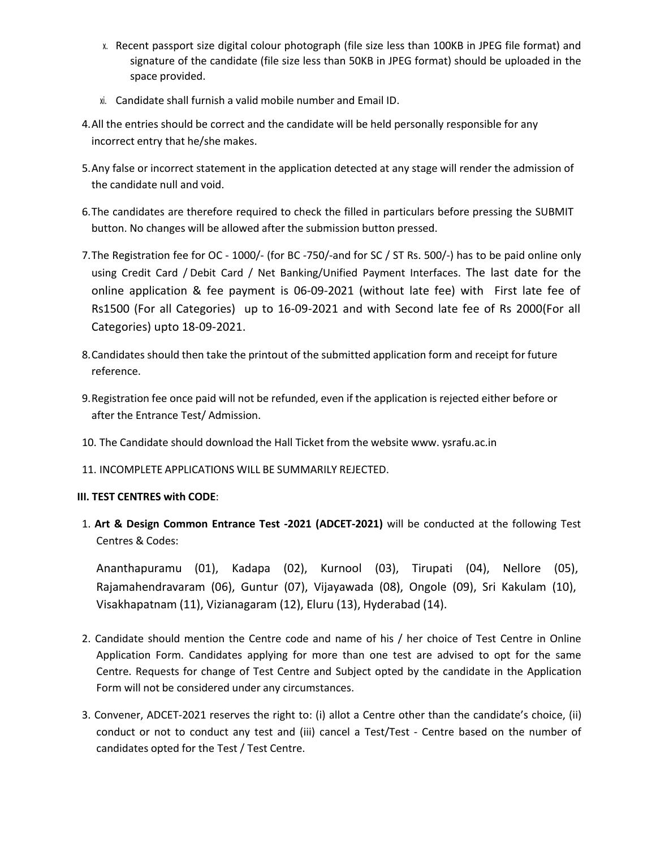- x. Recent passport size digital colour photograph (file size less than 100KB in JPEG file format) and signature of the candidate (file size less than 50KB in JPEG format) should be uploaded in the space provided.
- xi. Candidate shall furnish a valid mobile number and Email ID.
- 4.All the entries should be correct and the candidate will be held personally responsible for any incorrect entry that he/she makes.
- 5.Any false or incorrect statement in the application detected at any stage will render the admission of the candidate null and void.
- 6.The candidates are therefore required to check the filled in particulars before pressing the SUBMIT button. No changes will be allowed after the submission button pressed.
- 7.The Registration fee for OC 1000/- (for BC -750/-and for SC / ST Rs. 500/-) has to be paid online only using Credit Card / Debit Card / Net Banking/Unified Payment Interfaces. The last date for the online application & fee payment is 06-09-2021 (without late fee) with First late fee of Rs1500 (For all Categories) up to 16-09-2021 and with Second late fee of Rs 2000(For all Categories) upto 18-09-2021.
- 8.Candidates should then take the printout of the submitted application form and receipt for future reference.
- 9.Registration fee once paid will not be refunded, even if the application is rejected either before or after the Entrance Test/ Admission.
- 10. The Candidate should download the Hall Ticket from the website [www.](http://www/) ysrafu.ac.in
- 11. INCOMPLETE APPLICATIONS WILL BE SUMMARILY REJECTED.

#### **III. TEST CENTRES with CODE**:

1. **Art & Design Common Entrance Test -2021 (ADCET-2021)** will be conducted at the following Test Centres & Codes:

Ananthapuramu (01), Kadapa (02), Kurnool (03), Tirupati (04), Nellore (05), Rajamahendravaram (06), Guntur (07), Vijayawada (08), Ongole (09), Sri Kakulam (10), Visakhapatnam (11), Vizianagaram (12), Eluru (13), Hyderabad (14).

- 2. Candidate should mention the Centre code and name of his / her choice of Test Centre in Online Application Form. Candidates applying for more than one test are advised to opt for the same Centre. Requests for change of Test Centre and Subject opted by the candidate in the Application Form will not be considered under any circumstances.
- 3. Convener, ADCET-2021 reserves the right to: (i) allot a Centre other than the candidate's choice, (ii) conduct or not to conduct any test and (iii) cancel a Test/Test - Centre based on the number of candidates opted for the Test / Test Centre.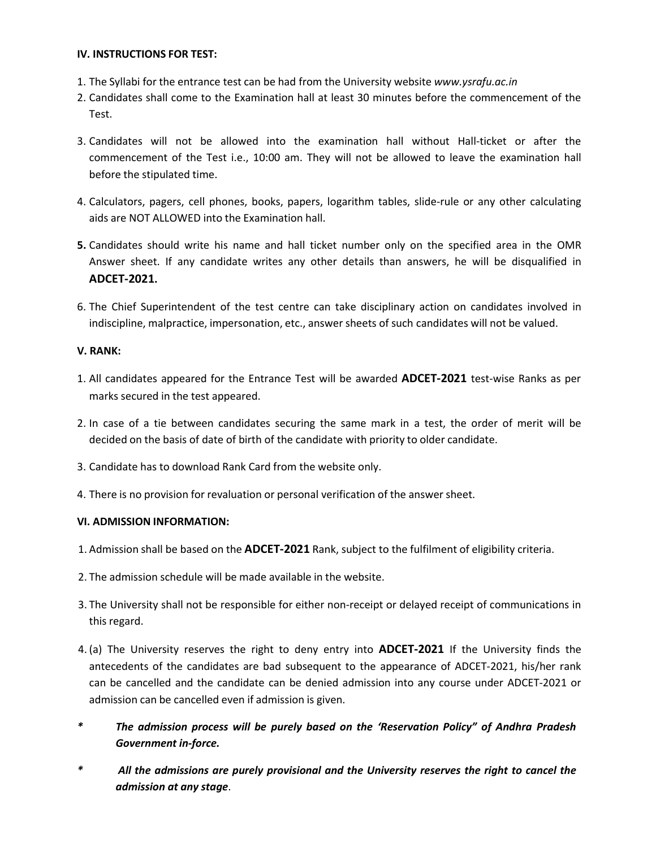#### **IV. INSTRUCTIONS FOR TEST:**

- 1. The Syllabi for the entrance test can be had from the University website *[www.ysrafu.ac.in](http://www.ysrafu.ac.in/)*
- 2. Candidates shall come to the Examination hall at least 30 minutes before the commencement of the Test.
- 3. Candidates will not be allowed into the examination hall without Hall-ticket or after the commencement of the Test i.e., 10:00 am. They will not be allowed to leave the examination hall before the stipulated time.
- 4. Calculators, pagers, cell phones, books, papers, logarithm tables, slide-rule or any other calculating aids are NOT ALLOWED into the Examination hall.
- **5.** Candidates should write his name and hall ticket number only on the specified area in the OMR Answer sheet. If any candidate writes any other details than answers, he will be disqualified in **ADCET-2021.**
- 6. The Chief Superintendent of the test centre can take disciplinary action on candidates involved in indiscipline, malpractice, impersonation, etc., answer sheets of such candidates will not be valued.

#### **V. RANK:**

- 1. All candidates appeared for the Entrance Test will be awarded **ADCET-2021** test-wise Ranks as per marks secured in the test appeared.
- 2. In case of a tie between candidates securing the same mark in atest, the order of merit will be decided on the basis of date of birth of the candidate with priority to older candidate.
- 3. Candidate has to download Rank Card from the website only.
- 4. There is no provision for revaluation or personal verification of the answer sheet.

#### **VI. ADMISSION INFORMATION:**

- 1. Admission shall be based on the **ADCET-2021** Rank, subject to the fulfilment of eligibility criteria.
- 
- 2. The admission schedule will be made available in the website.<br>3. The University shall not be responsible for either non-receipt or delayed receipt of communications in this regard.
- 4. (a) The University reserves the right to deny entry into **ADCET-2021** If the University finds the antecedents of the candidates are bad subsequent to the appearance of ADCET-2021, his/her rank can be cancelled and the candidate can be denied admission into any course under ADCET-2021 or admission can be cancelled even if admission is given.
- *\* The admission process will be purely based on the 'Reservation Policy" of Andhra Pradesh Government in-force.*
- *\* All the admissions are purely provisional and the University reserves the right to cancel the admission at any stage*.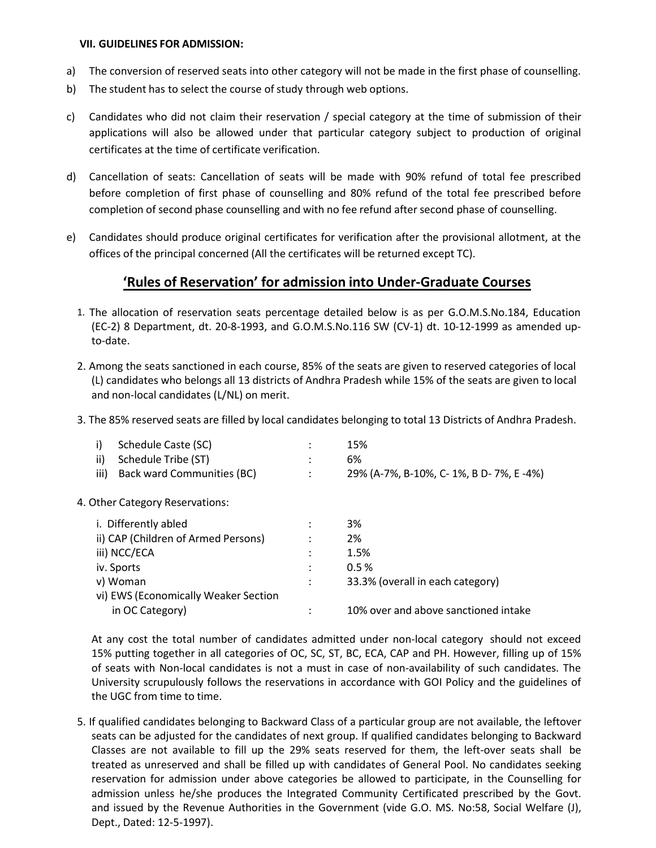#### **VII. GUIDELINES FOR ADMISSION:**

- a) The conversion of reserved seats into other category will not be made in the first phase of counselling.
- b) The student has to select the course of study through web options.
- c) Candidates who did not claim their reservation / special category at the time of submission of their applications will also be allowed under that particular category subject to production of original certificates at the time of certificate verification.
- d) Cancellation of seats: Cancellation of seats will be made with 90% refund of total fee prescribed before completion of first phase of counselling and 80% refund of the total fee prescribed before completion of second phase counselling and with no fee refund after second phase of counselling.
- e) Candidates should produce original certificates for verification after the provisional allotment, at the offices of the principal concerned (All the certificates will be returned except TC).

### **'Rules of Reservation' for admission into Under-Graduate Courses**

- 1. The allocation of reservation seats percentage detailed below is as per G.O.M.S.No.184, Education (EC-2) 8 Department, dt. 20-8-1993, and G.O.M.S.No.116 SW (CV-1) dt. 10-12-1999 as amended up to-date.
- 2. Among the seats sanctioned in each course, 85% of the seats are given to reserved categories of local (L) candidates who belongs all 13 districts of Andhra Pradesh while 15% of the seats are given to local and non-local candidates (L/NL) on merit.
- 3. The 85% reserved seats are filled by local candidates belonging to total 13 Districts of Andhra Pradesh.

| i)   | Schedule Caste (SC)                  | 15%                                     |
|------|--------------------------------------|-----------------------------------------|
| ii)  | Schedule Tribe (ST)                  | 6%                                      |
| iii) | Back ward Communities (BC)           | 29% (A-7%, B-10%, C- 1%, B D- 7%, E-4%) |
|      | 4. Other Category Reservations:      |                                         |
|      | i. Differently abled                 | 3%                                      |
|      | ii) CAP (Children of Armed Persons)  | 2%                                      |
|      | iii) NCC/ECA                         | 1.5%                                    |
|      | iv. Sports                           | 0.5%                                    |
|      | v) Woman                             | 33.3% (overall in each category)        |
|      | vi) EWS (Economically Weaker Section |                                         |
|      | in OC Category)                      | 10% over and above sanctioned intake    |
|      |                                      |                                         |

At any cost the total number of candidates admitted under non-local category should not exceed 15% putting together in all categories of OC, SC, ST, BC, ECA, CAP and PH. However, filling up of 15% of seats with Non-local candidates is not a must in case of non-availability of such candidates. The University scrupulously follows the reservations in accordance with GOI Policy and the guidelines of the UGC from time to time.

5. If qualified candidates belonging to Backward Class of a particular group are not available, the leftover seats can be adjusted for the candidates of next group. If qualified candidates belonging to Backward Classes are not available to fill up the 29% seats reserved for them, the left-over seats shall be treated as unreserved and shall be filled up with candidates of General Pool. No candidates seeking reservation for admission under above categories be allowed to participate, in the Counselling for admission unless he/she produces the Integrated Community Certificated prescribed by the Govt. and issued by the Revenue Authorities in the Government (vide G.O. MS. No:58, Social Welfare (J), Dept., Dated: 12-5-1997).